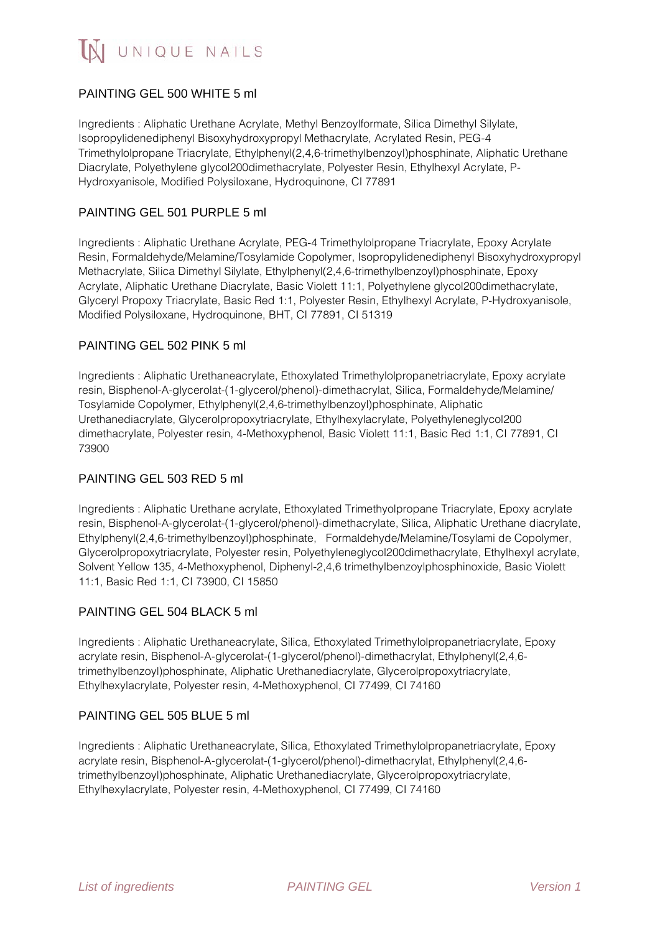

## PAINTING GEL 500 WHITE 5 ml

Ingredients : Aliphatic Urethane Acrylate, Methyl Benzoylformate, Silica Dimethyl Silylate, Isopropylidenediphenyl Bisoxyhydroxypropyl Methacrylate, Acrylated Resin, PEG-4 Trimethylolpropane Triacrylate, Ethylphenyl(2,4,6-trimethylbenzoyl)phosphinate, Aliphatic Urethane Diacrylate, Polyethylene glycol200dimethacrylate, Polyester Resin, Ethylhexyl Acrylate, P-Hydroxyanisole, Modified Polysiloxane, Hydroquinone, CI 77891

## PAINTING GEL 501 PURPLE 5 ml

Ingredients : Aliphatic Urethane Acrylate, PEG-4 Trimethylolpropane Triacrylate, Epoxy Acrylate Resin, Formaldehyde/Melamine/Tosylamide Copolymer, Isopropylidenediphenyl Bisoxyhydroxypropyl Methacrylate, Silica Dimethyl Silylate, Ethylphenyl(2,4,6-trimethylbenzoyl)phosphinate, Epoxy Acrylate, Aliphatic Urethane Diacrylate, Basic Violett 11:1, Polyethylene glycol200dimethacrylate, Glyceryl Propoxy Triacrylate, Basic Red 1:1, Polyester Resin, Ethylhexyl Acrylate, P-Hydroxyanisole, Modified Polysiloxane, Hydroquinone, BHT, CI 77891, CI 51319

#### PAINTING GEL 502 PINK 5 ml

Ingredients : Aliphatic Urethaneacrylate, Ethoxylated Trimethylolpropanetriacrylate, Epoxy acrylate resin, Bisphenol-A-glycerolat-(1-glycerol/phenol)-dimethacrylat, Silica, Formaldehyde/Melamine/ Tosylamide Copolymer, Ethylphenyl(2,4,6-trimethylbenzoyl)phosphinate, Aliphatic Urethanediacrylate, Glycerolpropoxytriacrylate, Ethylhexylacrylate, Polyethyleneglycol200 dimethacrylate, Polyester resin, 4-Methoxyphenol, Basic Violett 11:1, Basic Red 1:1, CI 77891, CI 73900

#### PAINTING GEL 503 RED 5 ml

Ingredients : Aliphatic Urethane acrylate, Ethoxylated Trimethyolpropane Triacrylate, Epoxy acrylate resin, Bisphenol-A-glycerolat-(1-glycerol/phenol)-dimethacrylate, Silica, Aliphatic Urethane diacrylate, Ethylphenyl(2,4,6-trimethylbenzoyl)phosphinate, Formaldehyde/Melamine/Tosylami de Copolymer, Glycerolpropoxytriacrylate, Polyester resin, Polyethyleneglycol200dimethacrylate, Ethylhexyl acrylate, Solvent Yellow 135, 4-Methoxyphenol, Diphenyl-2,4,6 trimethylbenzoylphosphinoxide, Basic Violett 11:1, Basic Red 1:1, CI 73900, CI 15850

#### PAINTING GEL 504 BLACK 5 ml

Ingredients : Aliphatic Urethaneacrylate, Silica, Ethoxylated Trimethylolpropanetriacrylate, Epoxy acrylate resin, Bisphenol-A-glycerolat-(1-glycerol/phenol)-dimethacrylat, Ethylphenyl(2,4,6 trimethylbenzoyl)phosphinate, Aliphatic Urethanediacrylate, Glycerolpropoxytriacrylate, Ethylhexylacrylate, Polyester resin, 4-Methoxyphenol, CI 77499, CI 74160

#### PAINTING GEL 505 BLUE 5 ml

Ingredients : Aliphatic Urethaneacrylate, Silica, Ethoxylated Trimethylolpropanetriacrylate, Epoxy acrylate resin, Bisphenol-A-glycerolat-(1-glycerol/phenol)-dimethacrylat, Ethylphenyl(2,4,6 trimethylbenzoyl)phosphinate, Aliphatic Urethanediacrylate, Glycerolpropoxytriacrylate, Ethylhexylacrylate, Polyester resin, 4-Methoxyphenol, CI 77499, CI 74160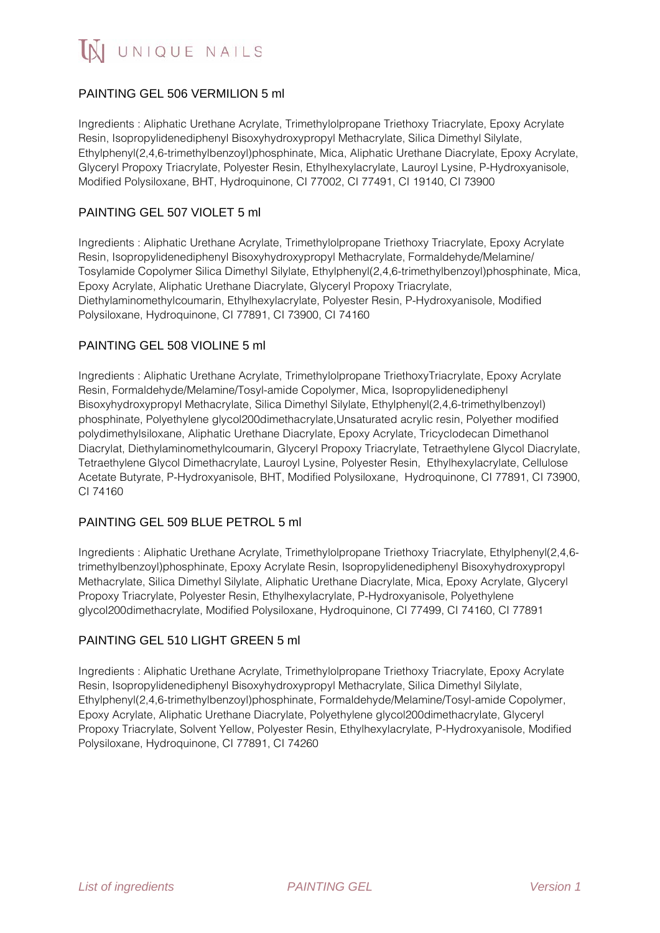## PAINTING GEL 506 VERMILION 5 ml

Ingredients : Aliphatic Urethane Acrylate, Trimethylolpropane Triethoxy Triacrylate, Epoxy Acrylate Resin, Isopropylidenediphenyl Bisoxyhydroxypropyl Methacrylate, Silica Dimethyl Silylate, Ethylphenyl(2,4,6-trimethylbenzoyl)phosphinate, Mica, Aliphatic Urethane Diacrylate, Epoxy Acrylate, Glyceryl Propoxy Triacrylate, Polyester Resin, Ethylhexylacrylate, Lauroyl Lysine, P-Hydroxyanisole, Modified Polysiloxane, BHT, Hydroquinone, CI 77002, CI 77491, CI 19140, CI 73900

## PAINTING GEL 507 VIOLET 5 ml

Ingredients : Aliphatic Urethane Acrylate, Trimethylolpropane Triethoxy Triacrylate, Epoxy Acrylate Resin, Isopropylidenediphenyl Bisoxyhydroxypropyl Methacrylate, Formaldehyde/Melamine/ Tosylamide Copolymer Silica Dimethyl Silylate, Ethylphenyl(2,4,6-trimethylbenzoyl)phosphinate, Mica, Epoxy Acrylate, Aliphatic Urethane Diacrylate, Glyceryl Propoxy Triacrylate, Diethylaminomethylcoumarin, Ethylhexylacrylate, Polyester Resin, P-Hydroxyanisole, Modified Polysiloxane, Hydroquinone, CI 77891, CI 73900, CI 74160

## PAINTING GEL 508 VIOLINE 5 ml

Ingredients : Aliphatic Urethane Acrylate, Trimethylolpropane TriethoxyTriacrylate, Epoxy Acrylate Resin, Formaldehyde/Melamine/Tosyl-amide Copolymer, Mica, Isopropylidenediphenyl Bisoxyhydroxypropyl Methacrylate, Silica Dimethyl Silylate, Ethylphenyl(2,4,6-trimethylbenzoyl) phosphinate, Polyethylene glycol200dimethacrylate,Unsaturated acrylic resin, Polyether modified polydimethylsiloxane, Aliphatic Urethane Diacrylate, Epoxy Acrylate, Tricyclodecan Dimethanol Diacrylat, Diethylaminomethylcoumarin, Glyceryl Propoxy Triacrylate, Tetraethylene Glycol Diacrylate, Tetraethylene Glycol Dimethacrylate, Lauroyl Lysine, Polyester Resin, Ethylhexylacrylate, Cellulose Acetate Butyrate, P-Hydroxyanisole, BHT, Modified Polysiloxane, Hydroquinone, CI 77891, CI 73900, CI 74160

## PAINTING GEL 509 BLUE PETROL 5 ml

Ingredients : Aliphatic Urethane Acrylate, Trimethylolpropane Triethoxy Triacrylate, Ethylphenyl(2,4,6 trimethylbenzoyl)phosphinate, Epoxy Acrylate Resin, Isopropylidenediphenyl Bisoxyhydroxypropyl Methacrylate, Silica Dimethyl Silylate, Aliphatic Urethane Diacrylate, Mica, Epoxy Acrylate, Glyceryl Propoxy Triacrylate, Polyester Resin, Ethylhexylacrylate, P-Hydroxyanisole, Polyethylene glycol200dimethacrylate, Modified Polysiloxane, Hydroquinone, CI 77499, CI 74160, CI 77891

## PAINTING GEL 510 LIGHT GREEN 5 ml

Ingredients : Aliphatic Urethane Acrylate, Trimethylolpropane Triethoxy Triacrylate, Epoxy Acrylate Resin, Isopropylidenediphenyl Bisoxyhydroxypropyl Methacrylate, Silica Dimethyl Silylate, Ethylphenyl(2,4,6-trimethylbenzoyl)phosphinate, Formaldehyde/Melamine/Tosyl-amide Copolymer, Epoxy Acrylate, Aliphatic Urethane Diacrylate, Polyethylene glycol200dimethacrylate, Glyceryl Propoxy Triacrylate, Solvent Yellow, Polyester Resin, Ethylhexylacrylate, P-Hydroxyanisole, Modified Polysiloxane, Hydroquinone, CI 77891, CI 74260